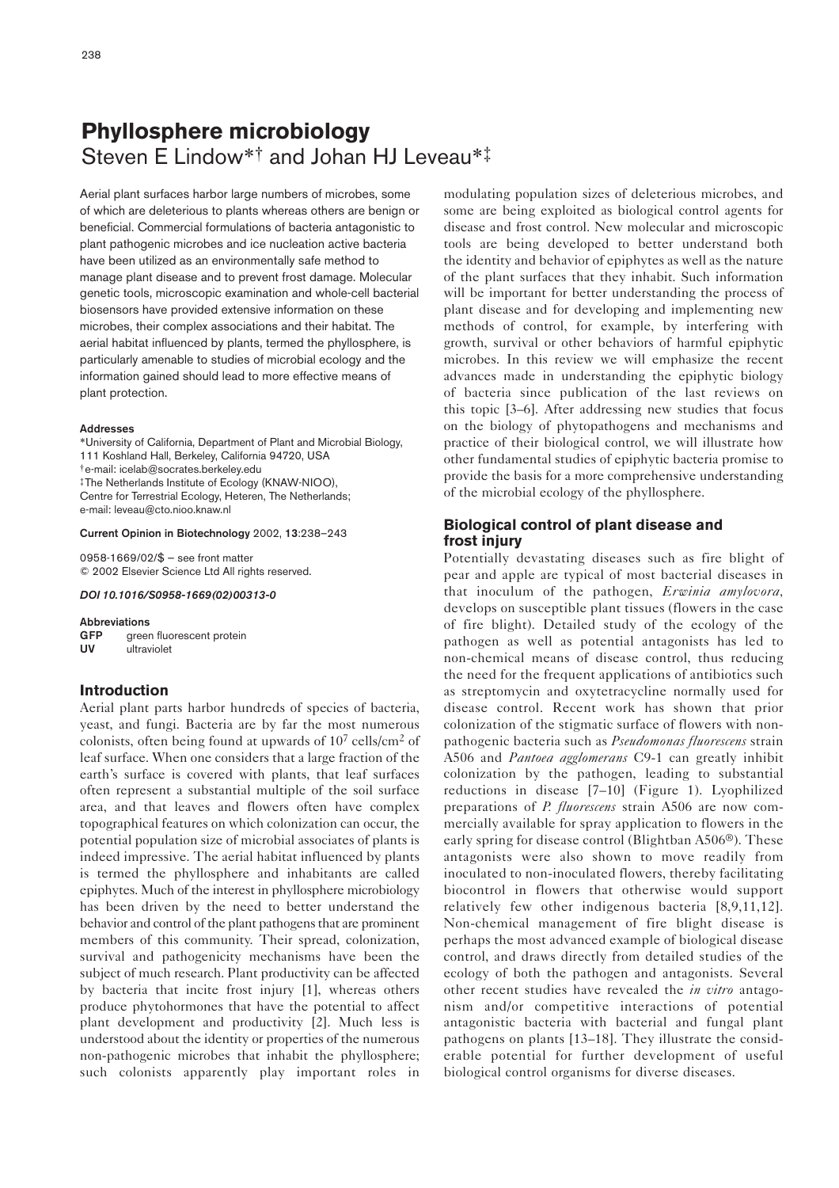# **Phyllosphere microbiology** Steven E Lindow\*† and Johan HJ Leveau\*‡

Aerial plant surfaces harbor large numbers of microbes, some of which are deleterious to plants whereas others are benign or beneficial. Commercial formulations of bacteria antagonistic to plant pathogenic microbes and ice nucleation active bacteria have been utilized as an environmentally safe method to manage plant disease and to prevent frost damage. Molecular genetic tools, microscopic examination and whole-cell bacterial biosensors have provided extensive information on these microbes, their complex associations and their habitat. The aerial habitat influenced by plants, termed the phyllosphere, is particularly amenable to studies of microbial ecology and the information gained should lead to more effective means of plant protection.

#### **Addresses**

\*University of California, Department of Plant and Microbial Biology, 111 Koshland Hall, Berkeley, California 94720, USA †e-mail: icelab@socrates.berkeley.edu

‡The Netherlands Institute of Ecology (KNAW-NIOO), Centre for Terrestrial Ecology, Heteren, The Netherlands; e-mail: leveau@cto.nioo.knaw.nl

#### **Current Opinion in Biotechnology** 2002, **13**:238–243

0958-1669/02/\$ — see front matter © 2002 Elsevier Science Ltd All rights reserved.

## *DOI 10.1016/S0958-1669(02)00313-0*

**Abbreviations** GFP green fluorescent protein<br>UV ultraviolet ultraviolet

# **Introduction**

Aerial plant parts harbor hundreds of species of bacteria, yeast, and fungi. Bacteria are by far the most numerous colonists, often being found at upwards of 107 cells/cm2 of leaf surface. When one considers that a large fraction of the earth's surface is covered with plants, that leaf surfaces often represent a substantial multiple of the soil surface area, and that leaves and flowers often have complex topographical features on which colonization can occur, the potential population size of microbial associates of plants is indeed impressive. The aerial habitat influenced by plants is termed the phyllosphere and inhabitants are called epiphytes. Much of the interest in phyllosphere microbiology has been driven by the need to better understand the behavior and control of the plant pathogens that are prominent members of this community. Their spread, colonization, survival and pathogenicity mechanisms have been the subject of much research. Plant productivity can be affected by bacteria that incite frost injury [1], whereas others produce phytohormones that have the potential to affect plant development and productivity [2]. Much less is understood about the identity or properties of the numerous non-pathogenic microbes that inhabit the phyllosphere; such colonists apparently play important roles in modulating population sizes of deleterious microbes, and some are being exploited as biological control agents for disease and frost control. New molecular and microscopic tools are being developed to better understand both the identity and behavior of epiphytes as well as the nature of the plant surfaces that they inhabit. Such information will be important for better understanding the process of plant disease and for developing and implementing new methods of control, for example, by interfering with growth, survival or other behaviors of harmful epiphytic microbes. In this review we will emphasize the recent advances made in understanding the epiphytic biology of bacteria since publication of the last reviews on this topic [3–6]. After addressing new studies that focus on the biology of phytopathogens and mechanisms and practice of their biological control, we will illustrate how other fundamental studies of epiphytic bacteria promise to provide the basis for a more comprehensive understanding of the microbial ecology of the phyllosphere.

# **Biological control of plant disease and frost injury**

Potentially devastating diseases such as fire blight of pear and apple are typical of most bacterial diseases in that inoculum of the pathogen, *Erwinia amylovora,* develops on susceptible plant tissues (flowers in the case of fire blight). Detailed study of the ecology of the pathogen as well as potential antagonists has led to non-chemical means of disease control, thus reducing the need for the frequent applications of antibiotics such as streptomycin and oxytetracycline normally used for disease control. Recent work has shown that prior colonization of the stigmatic surface of flowers with nonpathogenic bacteria such as *Pseudomonas fluorescens* strain A506 and *Pantoea agglomerans* C9-1 can greatly inhibit colonization by the pathogen, leading to substantial reductions in disease [7–10] (Figure 1). Lyophilized preparations of *P. fluorescens* strain A506 are now commercially available for spray application to flowers in the early spring for disease control (Blightban A506®). These antagonists were also shown to move readily from inoculated to non-inoculated flowers, thereby facilitating biocontrol in flowers that otherwise would support relatively few other indigenous bacteria [8,9,11,12]. Non-chemical management of fire blight disease is perhaps the most advanced example of biological disease control, and draws directly from detailed studies of the ecology of both the pathogen and antagonists. Several other recent studies have revealed the *in vitro* antagonism and/or competitive interactions of potential antagonistic bacteria with bacterial and fungal plant pathogens on plants [13–18]. They illustrate the considerable potential for further development of useful biological control organisms for diverse diseases.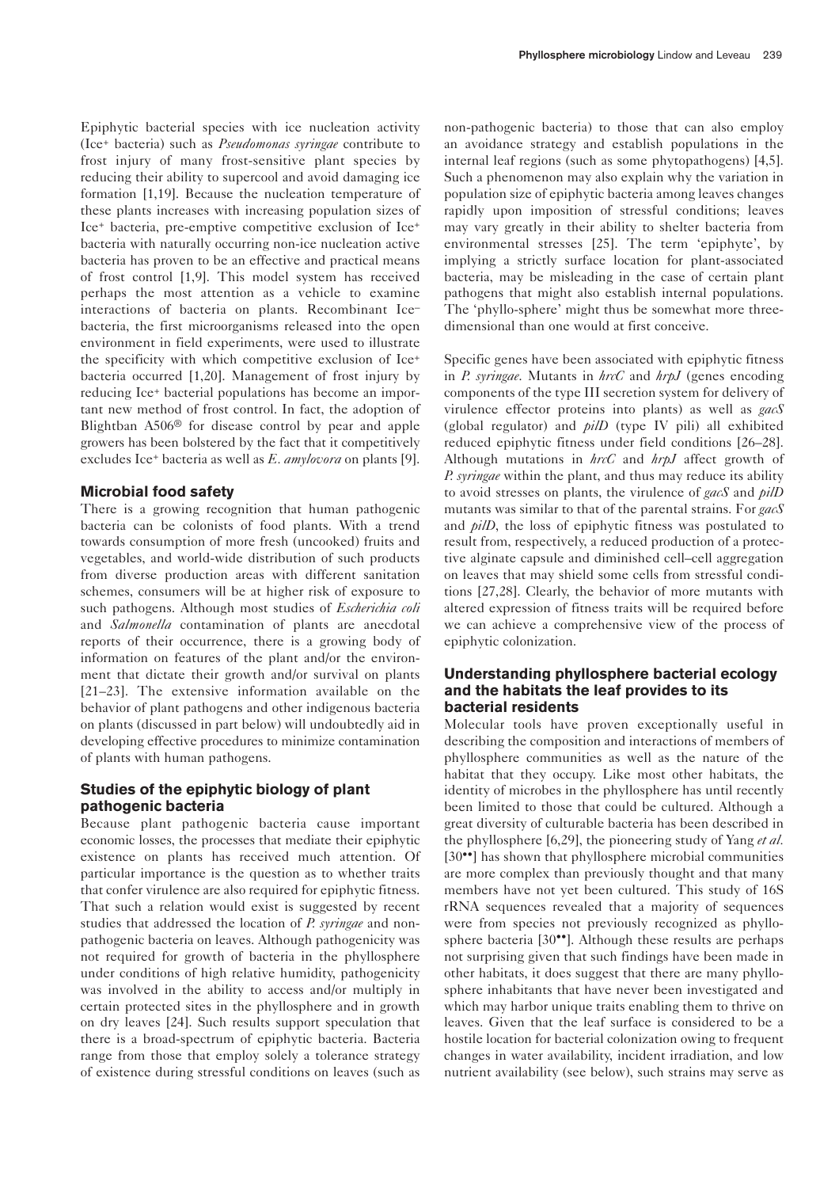Epiphytic bacterial species with ice nucleation activity (Ice+ bacteria) such as *Pseudomonas syringae* contribute to frost injury of many frost-sensitive plant species by reducing their ability to supercool and avoid damaging ice formation [1,19]. Because the nucleation temperature of these plants increases with increasing population sizes of Ice+ bacteria, pre-emptive competitive exclusion of Ice+ bacteria with naturally occurring non-ice nucleation active bacteria has proven to be an effective and practical means of frost control [1,9]. This model system has received perhaps the most attention as a vehicle to examine interactions of bacteria on plants. Recombinant Ice– bacteria, the first microorganisms released into the open environment in field experiments, were used to illustrate the specificity with which competitive exclusion of Ice+ bacteria occurred [1,20]. Management of frost injury by reducing Ice+ bacterial populations has become an important new method of frost control. In fact, the adoption of Blightban A506® for disease control by pear and apple growers has been bolstered by the fact that it competitively excludes Ice+ bacteria as well as *E. amylovora* on plants [9].

## **Microbial food safety**

There is a growing recognition that human pathogenic bacteria can be colonists of food plants. With a trend towards consumption of more fresh (uncooked) fruits and vegetables, and world-wide distribution of such products from diverse production areas with different sanitation schemes, consumers will be at higher risk of exposure to such pathogens. Although most studies of *Escherichia coli* and *Salmonella* contamination of plants are anecdotal reports of their occurrence, there is a growing body of information on features of the plant and/or the environment that dictate their growth and/or survival on plants [21–23]. The extensive information available on the behavior of plant pathogens and other indigenous bacteria on plants (discussed in part below) will undoubtedly aid in developing effective procedures to minimize contamination of plants with human pathogens.

# **Studies of the epiphytic biology of plant pathogenic bacteria**

Because plant pathogenic bacteria cause important economic losses, the processes that mediate their epiphytic existence on plants has received much attention. Of particular importance is the question as to whether traits that confer virulence are also required for epiphytic fitness. That such a relation would exist is suggested by recent studies that addressed the location of *P. syringae* and nonpathogenic bacteria on leaves. Although pathogenicity was not required for growth of bacteria in the phyllosphere under conditions of high relative humidity, pathogenicity was involved in the ability to access and/or multiply in certain protected sites in the phyllosphere and in growth on dry leaves [24]. Such results support speculation that there is a broad-spectrum of epiphytic bacteria. Bacteria range from those that employ solely a tolerance strategy of existence during stressful conditions on leaves (such as

non-pathogenic bacteria) to those that can also employ an avoidance strategy and establish populations in the internal leaf regions (such as some phytopathogens) [4,5]. Such a phenomenon may also explain why the variation in population size of epiphytic bacteria among leaves changes rapidly upon imposition of stressful conditions; leaves may vary greatly in their ability to shelter bacteria from environmental stresses [25]. The term 'epiphyte', by implying a strictly surface location for plant-associated bacteria, may be misleading in the case of certain plant pathogens that might also establish internal populations. The 'phyllo-sphere' might thus be somewhat more threedimensional than one would at first conceive.

Specific genes have been associated with epiphytic fitness in *P. syringae*. Mutants in *hrcC* and *hrpJ* (genes encoding components of the type III secretion system for delivery of virulence effector proteins into plants) as well as *gacS* (global regulator) and *pilD* (type IV pili) all exhibited reduced epiphytic fitness under field conditions [26–28]. Although mutations in *hrcC* and *hrpJ* affect growth of *P. syringae* within the plant, and thus may reduce its ability to avoid stresses on plants, the virulence of *gacS* and *pilD* mutants was similar to that of the parental strains. For *gacS* and *pilD*, the loss of epiphytic fitness was postulated to result from, respectively, a reduced production of a protective alginate capsule and diminished cell–cell aggregation on leaves that may shield some cells from stressful conditions [27,28]. Clearly, the behavior of more mutants with altered expression of fitness traits will be required before we can achieve a comprehensive view of the process of epiphytic colonization.

## **Understanding phyllosphere bacterial ecology and the habitats the leaf provides to its bacterial residents**

Molecular tools have proven exceptionally useful in describing the composition and interactions of members of phyllosphere communities as well as the nature of the habitat that they occupy. Like most other habitats, the identity of microbes in the phyllosphere has until recently been limited to those that could be cultured. Although a great diversity of culturable bacteria has been described in the phyllosphere [6,29], the pioneering study of Yang *et al.* [30<sup>••</sup>] has shown that phyllosphere microbial communities are more complex than previously thought and that many members have not yet been cultured. This study of 16S rRNA sequences revealed that a majority of sequences were from species not previously recognized as phyllosphere bacteria [30<sup>••</sup>]. Although these results are perhaps not surprising given that such findings have been made in other habitats, it does suggest that there are many phyllosphere inhabitants that have never been investigated and which may harbor unique traits enabling them to thrive on leaves. Given that the leaf surface is considered to be a hostile location for bacterial colonization owing to frequent changes in water availability, incident irradiation, and low nutrient availability (see below), such strains may serve as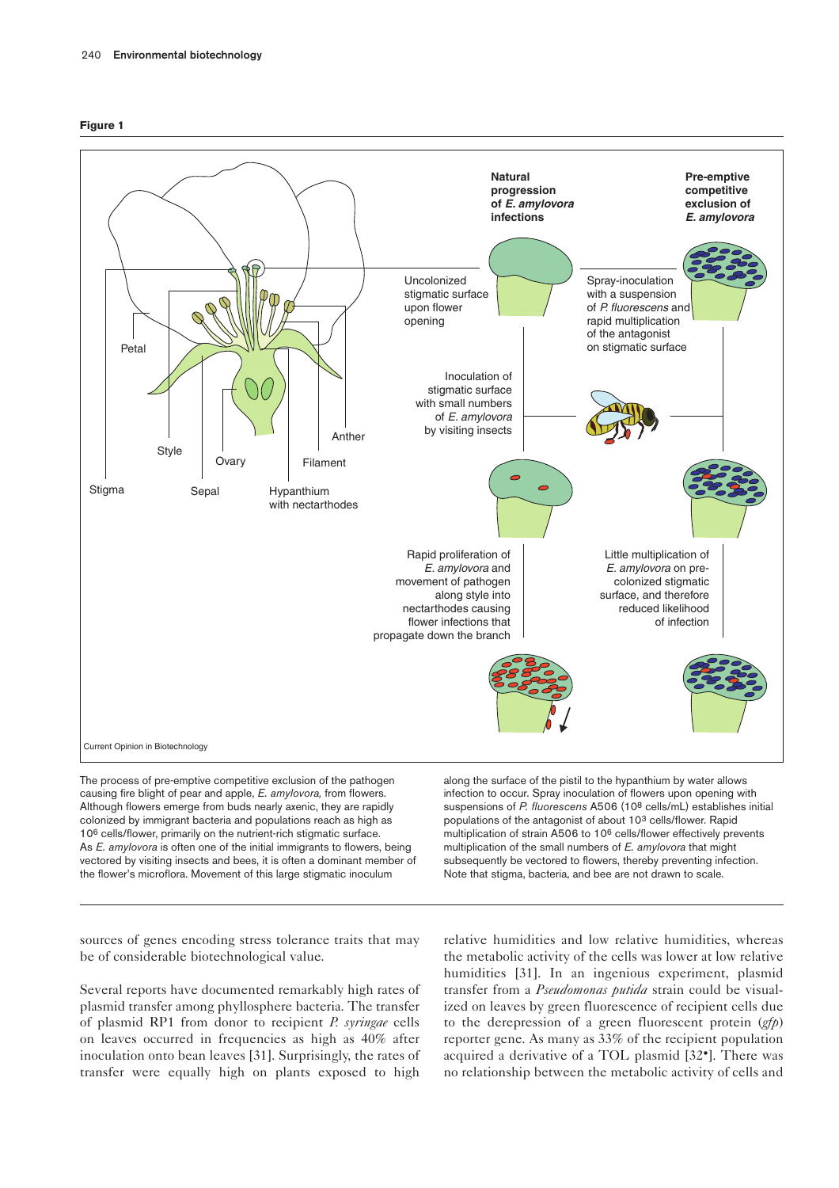



The process of pre-emptive competitive exclusion of the pathogen causing fire blight of pear and apple, *E. amylovora,* from flowers. Although flowers emerge from buds nearly axenic, they are rapidly colonized by immigrant bacteria and populations reach as high as 106 cells/flower, primarily on the nutrient-rich stigmatic surface. As *E. amylovora* is often one of the initial immigrants to flowers, being vectored by visiting insects and bees, it is often a dominant member of the flower's microflora. Movement of this large stigmatic inoculum

along the surface of the pistil to the hypanthium by water allows infection to occur. Spray inoculation of flowers upon opening with suspensions of *P. fluorescens* A506 (108 cells/mL) establishes initial populations of the antagonist of about 103 cells/flower. Rapid multiplication of strain A506 to 106 cells/flower effectively prevents multiplication of the small numbers of *E. amylovora* that might subsequently be vectored to flowers, thereby preventing infection. Note that stigma, bacteria, and bee are not drawn to scale.

sources of genes encoding stress tolerance traits that may be of considerable biotechnological value.

Several reports have documented remarkably high rates of plasmid transfer among phyllosphere bacteria. The transfer of plasmid RP1 from donor to recipient *P. syringae* cells on leaves occurred in frequencies as high as 40% after inoculation onto bean leaves [31]. Surprisingly, the rates of transfer were equally high on plants exposed to high

relative humidities and low relative humidities, whereas the metabolic activity of the cells was lower at low relative humidities [31]. In an ingenious experiment, plasmid transfer from a *Pseudomonas putida* strain could be visualized on leaves by green fluorescence of recipient cells due to the derepression of a green fluorescent protein (*gfp*) reporter gene. As many as 33% of the recipient population acquired a derivative of a TOL plasmid [32•]. There was no relationship between the metabolic activity of cells and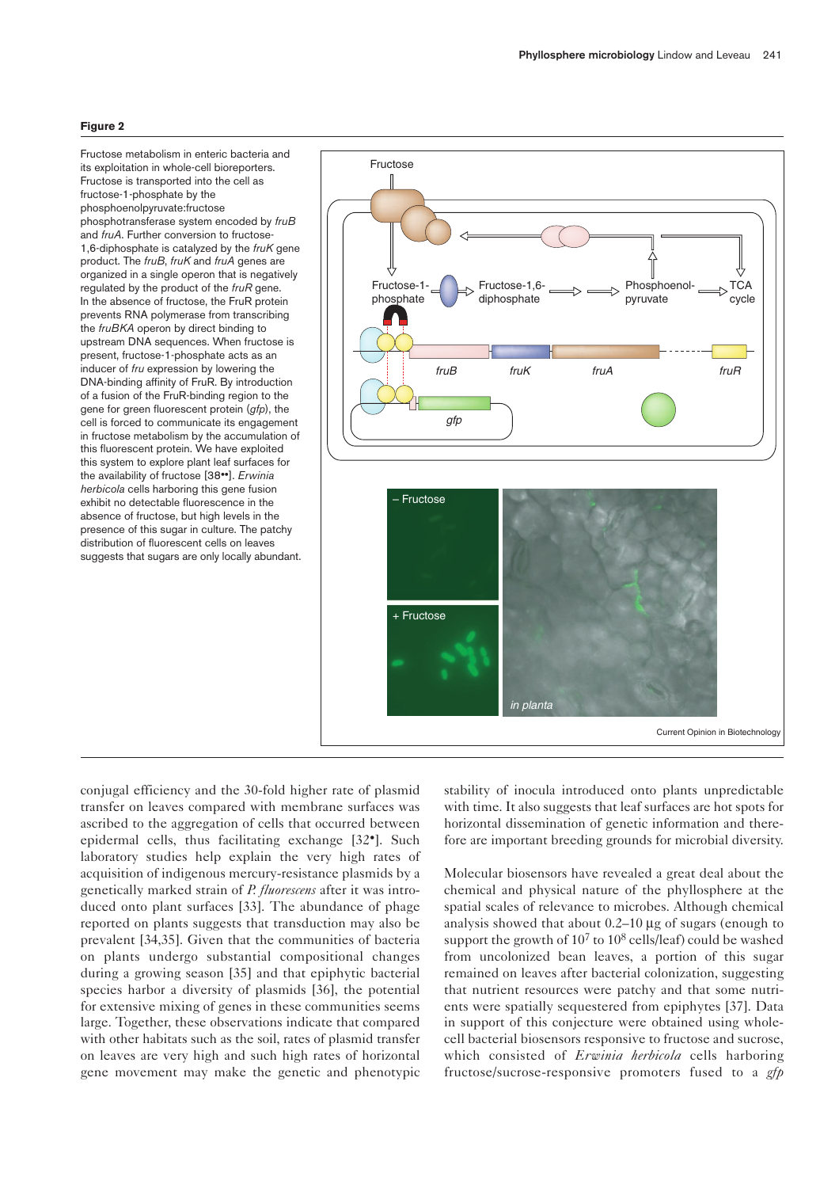#### **Figure 2**

Fructose metabolism in enteric bacteria and its exploitation in whole-cell bioreporters. Fructose is transported into the cell as fructose-1-phosphate by the phosphoenolpyruvate:fructose phosphotransferase system encoded by *fruB* and *fruA*. Further conversion to fructose-1,6-diphosphate is catalyzed by the *fruK* gene product. The *fruB*, *fruK* and *fruA* genes are organized in a single operon that is negatively regulated by the product of the *fruR* gene. In the absence of fructose, the FruR protein prevents RNA polymerase from transcribing the *fruBKA* operon by direct binding to upstream DNA sequences. When fructose is present, fructose-1-phosphate acts as an inducer of *fru* expression by lowering the DNA-binding affinity of FruR. By introduction of a fusion of the FruR-binding region to the gene for green fluorescent protein (*gfp*), the cell is forced to communicate its engagement in fructose metabolism by the accumulation of this fluorescent protein. We have exploited this system to explore plant leaf surfaces for the availability of fructose [38••]. *Erwinia herbicola* cells harboring this gene fusion exhibit no detectable fluorescence in the absence of fructose, but high levels in the presence of this sugar in culture. The patchy distribution of fluorescent cells on leaves suggests that sugars are only locally abundant.



conjugal efficiency and the 30-fold higher rate of plasmid transfer on leaves compared with membrane surfaces was ascribed to the aggregation of cells that occurred between epidermal cells, thus facilitating exchange [32•]. Such laboratory studies help explain the very high rates of acquisition of indigenous mercury-resistance plasmids by a genetically marked strain of *P. fluorescens* after it was introduced onto plant surfaces [33]. The abundance of phage reported on plants suggests that transduction may also be prevalent [34,35]. Given that the communities of bacteria on plants undergo substantial compositional changes during a growing season [35] and that epiphytic bacterial species harbor a diversity of plasmids [36], the potential for extensive mixing of genes in these communities seems large. Together, these observations indicate that compared with other habitats such as the soil, rates of plasmid transfer on leaves are very high and such high rates of horizontal gene movement may make the genetic and phenotypic stability of inocula introduced onto plants unpredictable with time. It also suggests that leaf surfaces are hot spots for horizontal dissemination of genetic information and therefore are important breeding grounds for microbial diversity.

Molecular biosensors have revealed a great deal about the chemical and physical nature of the phyllosphere at the spatial scales of relevance to microbes. Although chemical analysis showed that about 0.2–10 µg of sugars (enough to support the growth of 107 to 108 cells/leaf) could be washed from uncolonized bean leaves, a portion of this sugar remained on leaves after bacterial colonization, suggesting that nutrient resources were patchy and that some nutrients were spatially sequestered from epiphytes [37]. Data in support of this conjecture were obtained using wholecell bacterial biosensors responsive to fructose and sucrose, which consisted of *Erwinia herbicola* cells harboring fructose/sucrose-responsive promoters fused to a *gfp*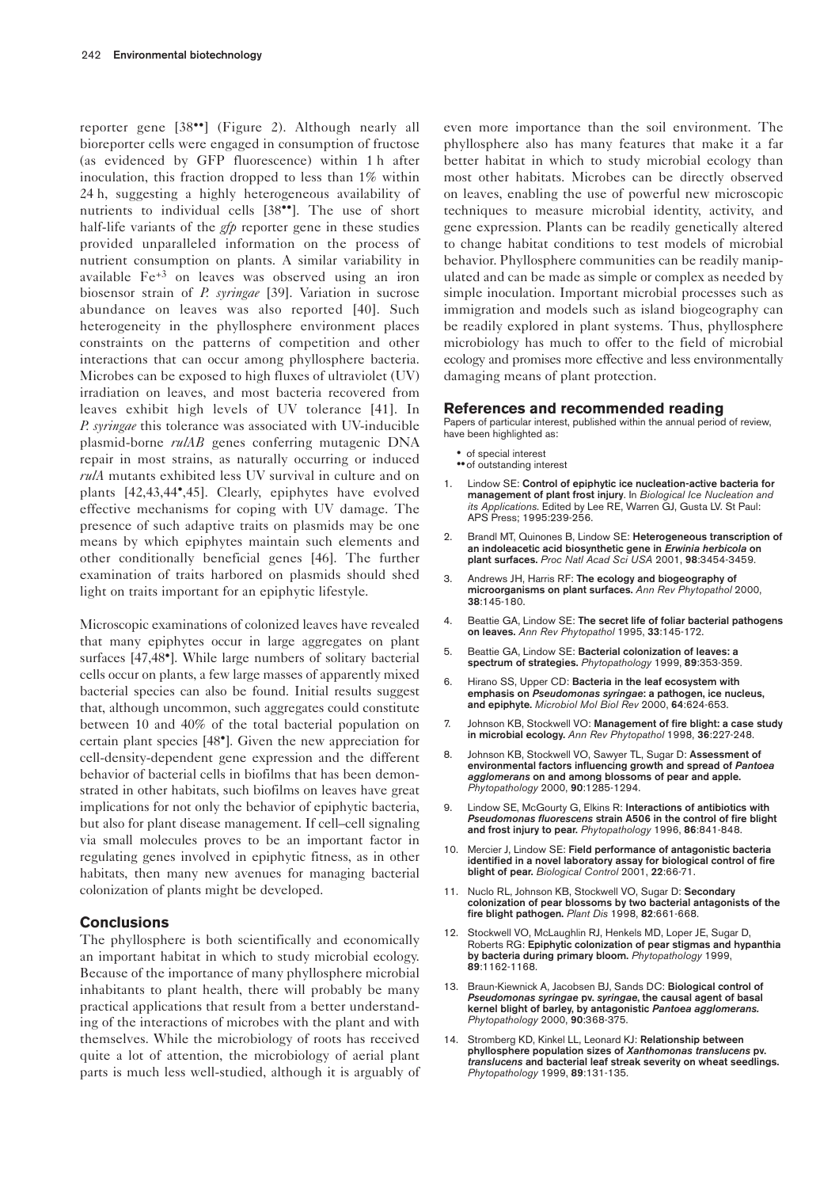reporter gene [38••] (Figure 2). Although nearly all bioreporter cells were engaged in consumption of fructose (as evidenced by GFP fluorescence) within 1 h after inoculation, this fraction dropped to less than 1% within 24 h, suggesting a highly heterogeneous availability of nutrients to individual cells [38••]. The use of short half-life variants of the *gfp* reporter gene in these studies provided unparalleled information on the process of nutrient consumption on plants. A similar variability in available Fe+3 on leaves was observed using an iron biosensor strain of *P. syringae* [39]. Variation in sucrose abundance on leaves was also reported [40]. Such heterogeneity in the phyllosphere environment places constraints on the patterns of competition and other interactions that can occur among phyllosphere bacteria. Microbes can be exposed to high fluxes of ultraviolet (UV) irradiation on leaves, and most bacteria recovered from leaves exhibit high levels of UV tolerance [41]. In *P. syringae* this tolerance was associated with UV-inducible plasmid-borne *rulAB* genes conferring mutagenic DNA repair in most strains, as naturally occurring or induced *rulA* mutants exhibited less UV survival in culture and on plants [42,43,44•,45]. Clearly, epiphytes have evolved effective mechanisms for coping with UV damage. The presence of such adaptive traits on plasmids may be one means by which epiphytes maintain such elements and other conditionally beneficial genes [46]. The further examination of traits harbored on plasmids should shed light on traits important for an epiphytic lifestyle.

Microscopic examinations of colonized leaves have revealed that many epiphytes occur in large aggregates on plant surfaces [47,48•]. While large numbers of solitary bacterial cells occur on plants, a few large masses of apparently mixed bacterial species can also be found. Initial results suggest that, although uncommon, such aggregates could constitute between 10 and 40% of the total bacterial population on certain plant species [48•]. Given the new appreciation for cell-density-dependent gene expression and the different behavior of bacterial cells in biofilms that has been demonstrated in other habitats, such biofilms on leaves have great implications for not only the behavior of epiphytic bacteria, but also for plant disease management. If cell–cell signaling via small molecules proves to be an important factor in regulating genes involved in epiphytic fitness, as in other habitats, then many new avenues for managing bacterial colonization of plants might be developed.

## **Conclusions**

The phyllosphere is both scientifically and economically an important habitat in which to study microbial ecology. Because of the importance of many phyllosphere microbial inhabitants to plant health, there will probably be many practical applications that result from a better understanding of the interactions of microbes with the plant and with themselves. While the microbiology of roots has received quite a lot of attention, the microbiology of aerial plant parts is much less well-studied, although it is arguably of even more importance than the soil environment. The phyllosphere also has many features that make it a far better habitat in which to study microbial ecology than most other habitats. Microbes can be directly observed on leaves, enabling the use of powerful new microscopic techniques to measure microbial identity, activity, and gene expression. Plants can be readily genetically altered to change habitat conditions to test models of microbial behavior. Phyllosphere communities can be readily manipulated and can be made as simple or complex as needed by simple inoculation. Important microbial processes such as immigration and models such as island biogeography can be readily explored in plant systems. Thus, phyllosphere microbiology has much to offer to the field of microbial ecology and promises more effective and less environmentally damaging means of plant protection.

## **References and recommended reading**

Papers of particular interest, published within the annual period of review, have been highlighted as:

- of special interest
- •• of outstanding interest
- 1. Lindow SE: **Control of epiphytic ice nucleation-active bacteria for management of plant frost injury**. In *Biological Ice Nucleation and its Applications*. Edited by Lee RE, Warren GJ, Gusta LV. St Paul: APS Press; 1995:239-256.
- 2. Brandl MT, Quinones B, Lindow SE: **Heterogeneous transcription of an indoleacetic acid biosynthetic gene in** *Erwinia herbicola* **on plant surfaces.** *Proc Natl Acad Sci USA* 2001, **98**:3454-3459.
- 3. Andrews JH, Harris RF: **The ecology and biogeography of microorganisms on plant surfaces.** *Ann Rev Phytopathol* 2000, **38**:145-180.
- 4. Beattie GA, Lindow SE: **The secret life of foliar bacterial pathogens on leaves.** *Ann Rev Phytopathol* 1995, **33**:145-172.
- 5. Beattie GA, Lindow SE: **Bacterial colonization of leaves: a spectrum of strategies.** *Phytopathology* 1999, **89**:353-359.
- 6. Hirano SS, Upper CD: **Bacteria in the leaf ecosystem with emphasis on** *Pseudomonas syringae***: a pathogen, ice nucleus, and epiphyte.** *Microbiol Mol Biol Rev* 2000, **64**:624-653.
- 7. Johnson KB, Stockwell VO: **Management of fire blight: a case study in microbial ecology.** *Ann Rev Phytopathol* 1998, **36**:227-248.
- 8. Johnson KB, Stockwell VO, Sawyer TL, Sugar D: **Assessment of environmental factors influencing growth and spread of** *Pantoea agglomerans* **on and among blossoms of pear and apple.** *Phytopathology* 2000, **90**:1285-1294.
- 9. Lindow SE, McGourty G, Elkins R: **Interactions of antibiotics with** *Pseudomonas fluorescens* **strain A506 in the control of fire blight and frost injury to pear.** *Phytopathology* 1996, **86**:841-848.
- 10. Mercier J, Lindow SE: **Field performance of antagonistic bacteria identified in a novel laboratory assay for biological control of fire blight of pear.** *Biological Control* 2001, **22**:66-71.
- 11. Nuclo RL, Johnson KB, Stockwell VO, Sugar D: **Secondary colonization of pear blossoms by two bacterial antagonists of the fire blight pathogen.** *Plant Dis* 1998, **82**:661-668.
- 12. Stockwell VO, McLaughlin RJ, Henkels MD, Loper JE, Sugar D, Roberts RG: **Epiphytic colonization of pear stigmas and hypanthia by bacteria during primary bloom.** *Phytopathology* 1999, **89**:1162-1168.
- 13. Braun-Kiewnick A, Jacobsen BJ, Sands DC: **Biological control of** *Pseudomonas syringae* **pv.** *syringae***, the causal agent of basal kernel blight of barley, by antagonistic** *Pantoea agglomerans. Phytopathology* 2000, **90**:368-375.
- 14. Stromberg KD, Kinkel LL, Leonard KJ: **Relationship between phyllosphere population sizes of** *Xanthomonas translucens* **pv.** *translucens* **and bacterial leaf streak severity on wheat seedlings.** *Phytopathology* 1999, **89**:131-135.